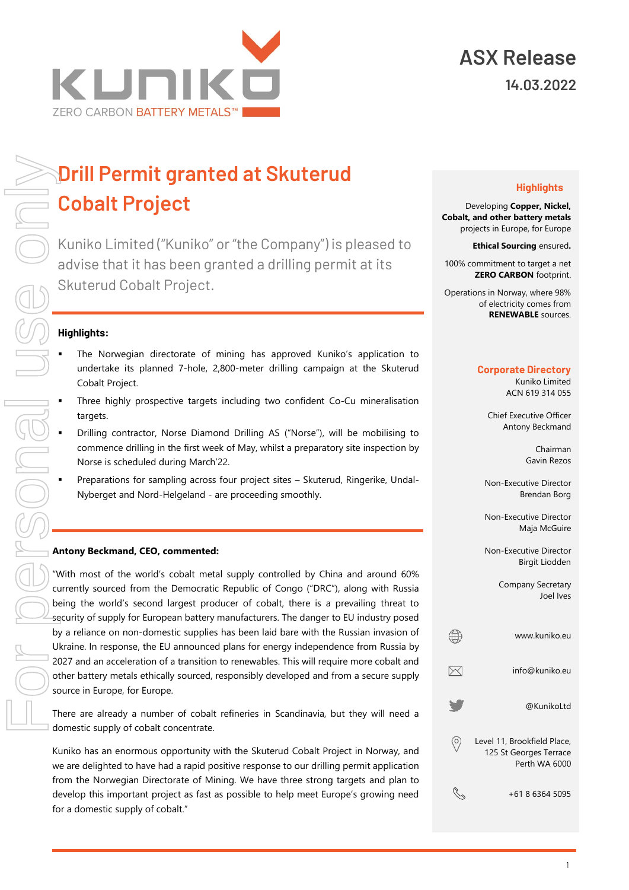

# **Drill Permit granted at Skuterud Cobalt Project**

Kuniko Limited ("Kuniko" or "the Company") is pleased to advise that it has been granted a drilling permit at its Skuterud Cobalt Project.

### **Highlights:**

- The Norwegian directorate of mining has approved Kuniko's application to undertake its planned 7-hole, 2,800-meter drilling campaign at the Skuterud Cobalt Project.
- Three highly prospective targets including two confident Co-Cu mineralisation targets.
- Drilling contractor, Norse Diamond Drilling AS ("Norse"), will be mobilising to commence drilling in the first week of May, whilst a preparatory site inspection by Norse is scheduled during March'22.
	- Preparations for sampling across four project sites Skuterud, Ringerike, Undal-Nyberget and Nord-Helgeland - are proceeding smoothly.

#### **Antony Beckmand, CEO, commented:**

"With most of the world's cobalt metal supply controlled by China and around 60% currently sourced from the Democratic Republic of Congo ("DRC"), along with Russia being the world's second largest producer of cobalt, there is a prevailing threat to security of supply for European battery manufacturers. The danger to EU industry posed by a reliance on non-domestic supplies has been laid bare with the Russian invasion of Ukraine. In response, the EU announced plans for energy independence from Russia by 2027 and an acceleration of a transition to renewables. This will require more cobalt and other battery metals ethically sourced, responsibly developed and from a secure supply source in Europe, for Europe.

There are already a number of cobalt refineries in Scandinavia, but they will need a domestic supply of cobalt concentrate.

Kuniko has an enormous opportunity with the Skuterud Cobalt Project in Norway, and we are delighted to have had a rapid positive response to our drilling permit application from the Norwegian Directorate of Mining. We have three strong targets and plan to develop this important project as fast as possible to help meet Europe's growing need for a domestic supply of cobalt."

### **Highlights**

Developing **Copper, Nickel, Cobalt, and other battery metals**  projects in Europe, for Europe

**Ethical Sourcing** ensured**.**

100% commitment to target a net **ZERO CARBON** footprint.

Operations in Norway, where 98% of electricity comes from **RENEWABLE** sources.

#### **Corporate Directory**

Kuniko Limited ACN 619 314 055

Chief Executive Officer Antony Beckmand

> Chairman Gavin Rezos

Non-Executive Director Brendan Borg

Non-Executive Director Maja McGuire

Non-Executive Director Birgit Liodden

> Company Secretary Joel Ives

| www.kuniko.eu                                                          |
|------------------------------------------------------------------------|
| info@kuniko.eu                                                         |
| @KunikoLtd                                                             |
| Level 11, Brookfield Place,<br>125 St Georges Terrace<br>Perth WA 6000 |
| +61 8 6364 5095                                                        |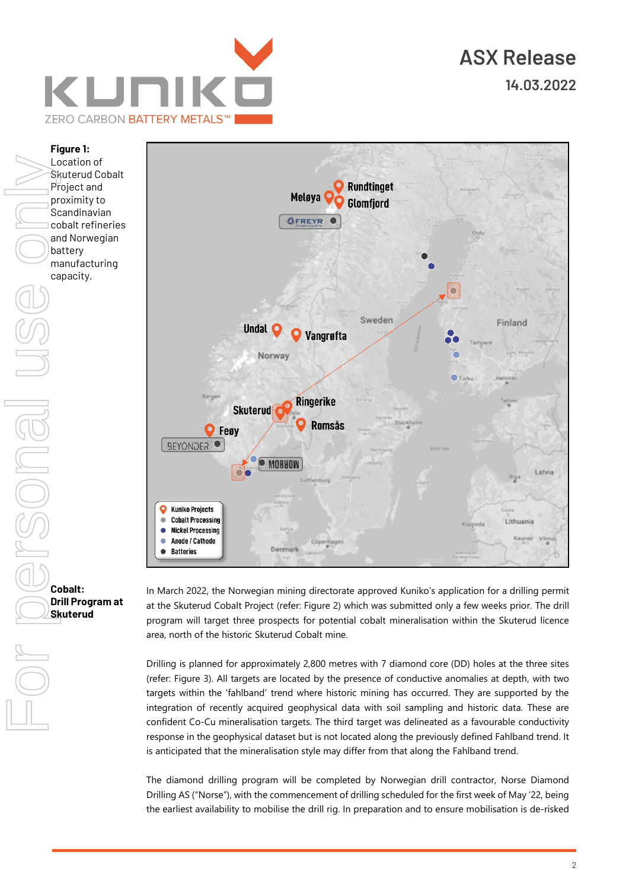





In March 2022, the Norwegian mining directorate approved Kuniko's application for a drilling permit at the Skuterud Cobalt Project (refer: Figure 2) which was submitted only a few weeks prior. The drill program will target three prospects for potential cobalt mineralisation within the Skuterud licence area, north of the historic Skuterud Cobalt mine.

Drilling is planned for approximately 2,800 metres with 7 diamond core (DD) holes at the three sites (refer: Figure 3). All targets are located by the presence of conductive anomalies at depth, with two targets within the 'fahlband' trend where historic mining has occurred. They are supported by the integration of recently acquired geophysical data with soil sampling and historic data. These are confident Co-Cu mineralisation targets. The third target was delineated as a favourable conductivity response in the geophysical dataset but is not located along the previously defined Fahlband trend. It is anticipated that the mineralisation style may differ from that along the Fahlband trend.

The diamond drilling program will be completed by Norwegian drill contractor, Norse Diamond Drilling AS ("Norse"), with the commencement of drilling scheduled for the first week of May '22, being the earliest availability to mobilise the drill rig. In preparation and to ensure mobilisation is de-risked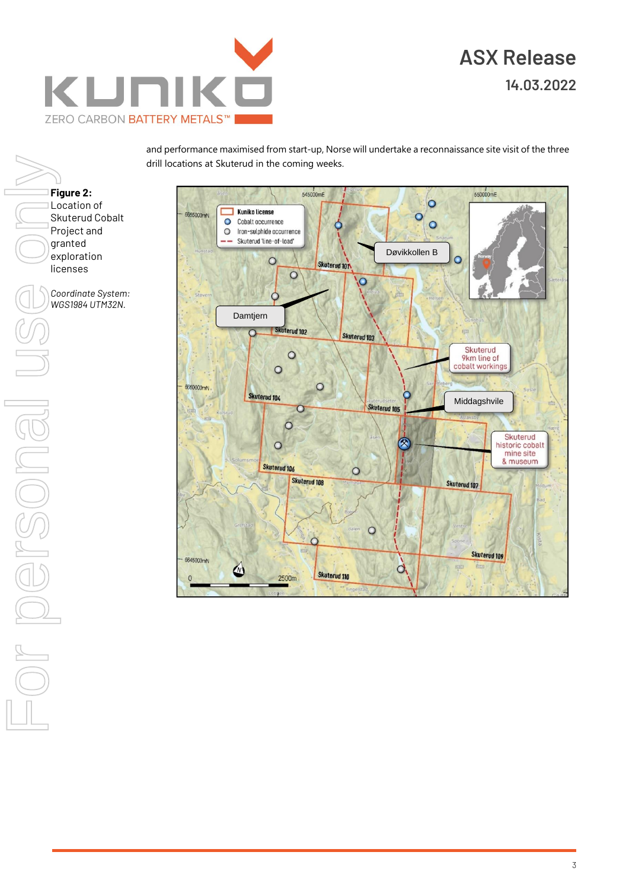

For personal use only**Figure 2:** Location of Skuterud Cobalt Project and granted exploration licenses *Coordinate System: WGS1984 UTM32N.* Or persone

and performance maximised from start-up, Norse will undertake a reconnaissance site visit of the three drill locations at Skuterud in the coming weeks.

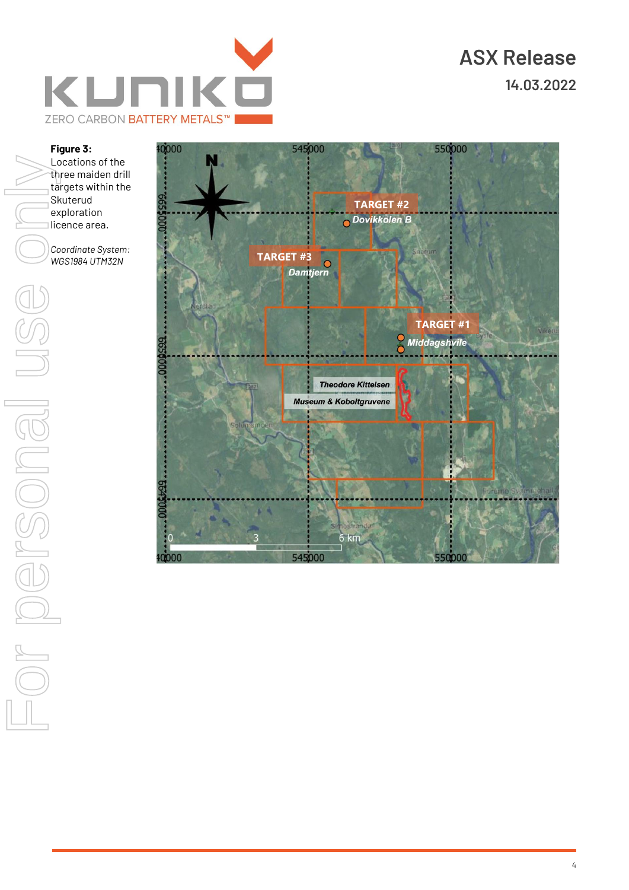

#### **Figure 3:**

Locations of the three maiden drill targets within the Skuterud exploration licence area.

*Coordinate System: WGS1984 UTM32N*

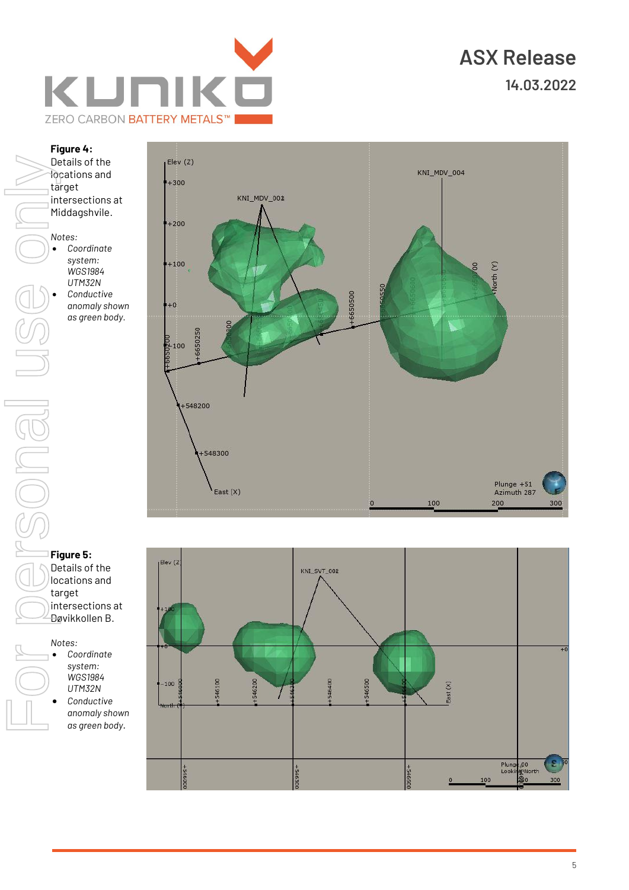

#### **Figure 4:**

Details of the locations and target intersections at Middagshvile. *Notes:* • *Coordinate system:*  Details of the<br>
forcations and<br>
intersections at<br>
intersections at<br>
Middagshvile.<br>
WGS1984<br>
UTM32N<br>
Conductive<br>
anomaly shows<br>
as green body.<br>
Tigure 5:<br>
Details of the<br>
locations and<br>
target<br> **Figure 5:**<br>
Details of the<br>

*WGS1984 UTM32N* • *Conductive anomaly shown as green body.*



### **Figure 5:**

Details of the locations and target intersections at Døvikkollen B.

#### *Notes:*

- *Coordinate system: WGS1984 UTM32N* • *Conductive* 
	- *anomaly shown*

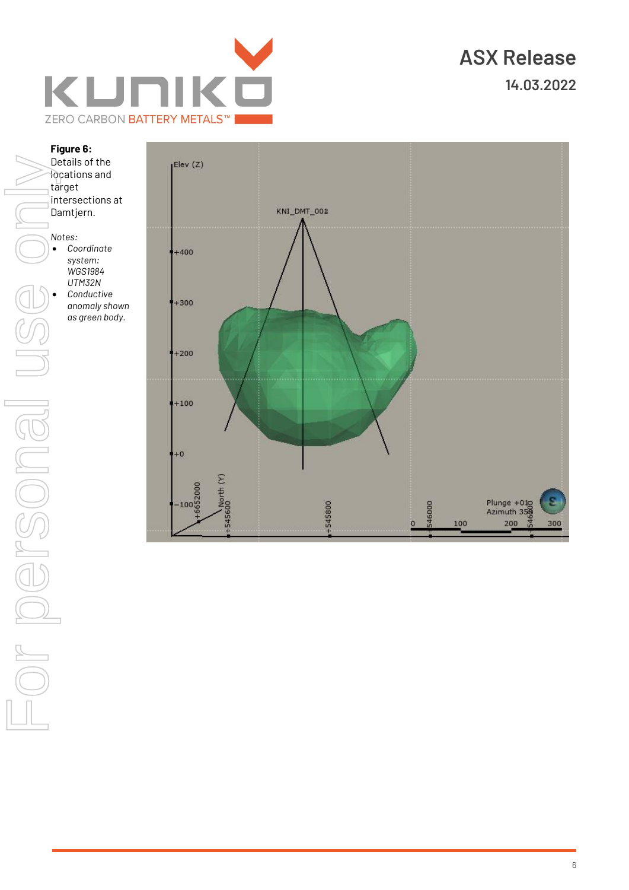

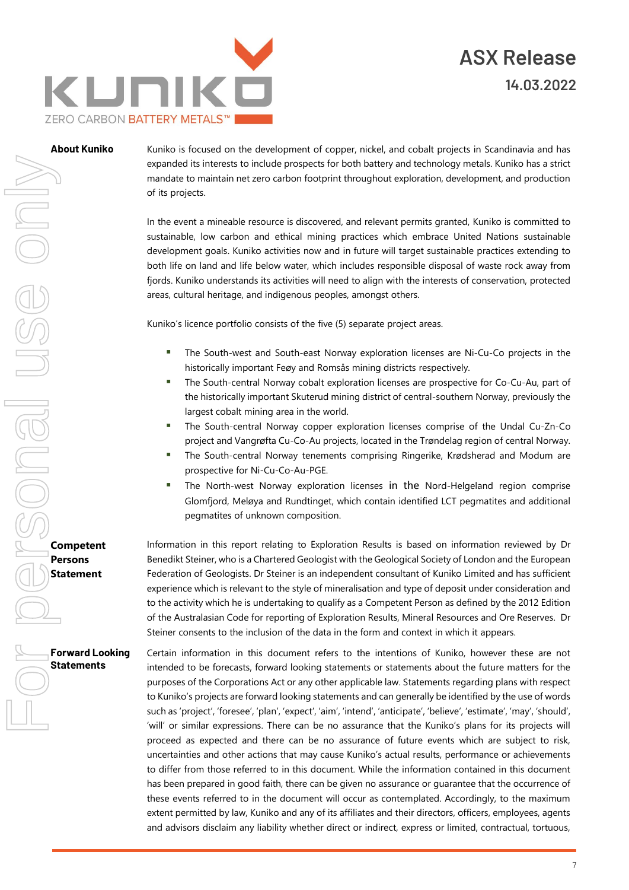

About Kuniko Kuniko is focused on the development of copper, nickel, and cobalt projects in Scandinavia and has expanded its interests to include prospects for both battery and technology metals. Kuniko has a strict mandate to maintain net zero carbon footprint throughout exploration, development, and production of its projects.

> In the event a mineable resource is discovered, and relevant permits granted, Kuniko is committed to sustainable, low carbon and ethical mining practices which embrace United Nations sustainable development goals. Kuniko activities now and in future will target sustainable practices extending to both life on land and life below water, which includes responsible disposal of waste rock away from fjords. Kuniko understands its activities will need to align with the interests of conservation, protected areas, cultural heritage, and indigenous peoples, amongst others.

Kuniko's licence portfolio consists of the five (5) separate project areas.

- **■** The South-west and South-east Norway exploration licenses are Ni-Cu-Co projects in the historically important Feøy and Romsås mining districts respectively.
- **■** The South-central Norway cobalt exploration licenses are prospective for Co-Cu-Au, part of the historically important Skuterud mining district of central-southern Norway, previously the largest cobalt mining area in the world.
- The South-central Norway copper exploration licenses comprise of the Undal Cu-Zn-Co project and Vangrøfta Cu-Co-Au projects, located in the Trøndelag region of central Norway.
- The South-central Norway tenements comprising Ringerike, Krødsherad and Modum are prospective for Ni-Cu-Co-Au-PGE.
- The North-west Norway exploration licenses in the Nord-Helgeland region comprise Glomfjord, Meløya and Rundtinget, which contain identified LCT pegmatites and additional pegmatites of unknown composition.

Information in this report relating to Exploration Results is based on information reviewed by Dr Benedikt Steiner, who is a Chartered Geologist with the Geological Society of London and the European Federation of Geologists. Dr Steiner is an independent consultant of Kuniko Limited and has sufficient experience which is relevant to the style of mineralisation and type of deposit under consideration and to the activity which he is undertaking to qualify as a Competent Person as defined by the 2012 Edition of the Australasian Code for reporting of Exploration Results, Mineral Resources and Ore Reserves. Dr Steiner consents to the inclusion of the data in the form and context in which it appears.

Certain information in this document refers to the intentions of Kuniko, however these are not intended to be forecasts, forward looking statements or statements about the future matters for the purposes of the Corporations Act or any other applicable law. Statements regarding plans with respect to Kuniko's projects are forward looking statements and can generally be identified by the use of words such as 'project', 'foresee', 'plan', 'expect', 'aim', 'intend', 'anticipate', 'believe', 'estimate', 'may', 'should', 'will' or similar expressions. There can be no assurance that the Kuniko's plans for its projects will proceed as expected and there can be no assurance of future events which are subject to risk, uncertainties and other actions that may cause Kuniko's actual results, performance or achievements to differ from those referred to in this document. While the information contained in this document has been prepared in good faith, there can be given no assurance or guarantee that the occurrence of these events referred to in the document will occur as contemplated. Accordingly, to the maximum extent permitted by law, Kuniko and any of its affiliates and their directors, officers, employees, agents and advisors disclaim any liability whether direct or indirect, express or limited, contractual, tortuous,

**Competent Persons Statement**

**Forward Looking Statements**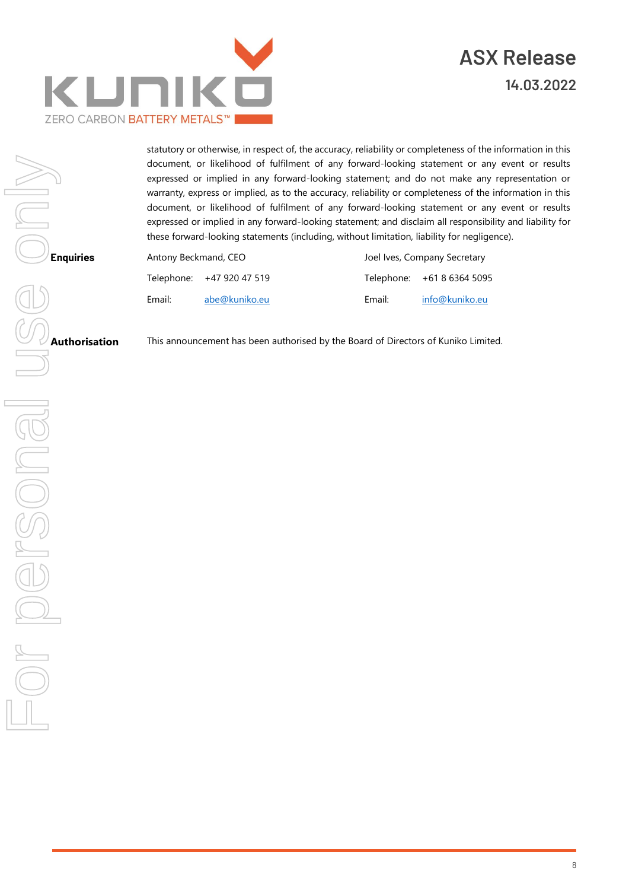

statutory or otherwise, in respect of, the accuracy, reliability or completeness of the information in this document, or likelihood of fulfilment of any forward-looking statement or any event or results expressed or implied in any forward-looking statement; and do not make any representation or warranty, express or implied, as to the accuracy, reliability or completeness of the information in this document, or likelihood of fulfilment of any forward-looking statement or any event or results expressed or implied in any forward-looking statement; and disclaim all responsibility and liability for these forward-looking statements (including, without limitation, liability for negligence).

| Antony Beckmand, CEO |                           | Joel Ives, Company Secretary |                            |
|----------------------|---------------------------|------------------------------|----------------------------|
|                      | Telephone: +47 920 47 519 |                              | Telephone: +61 8 6364 5095 |
| Email:               | abe@kuniko.eu             | Email:                       | info@kuniko.eu             |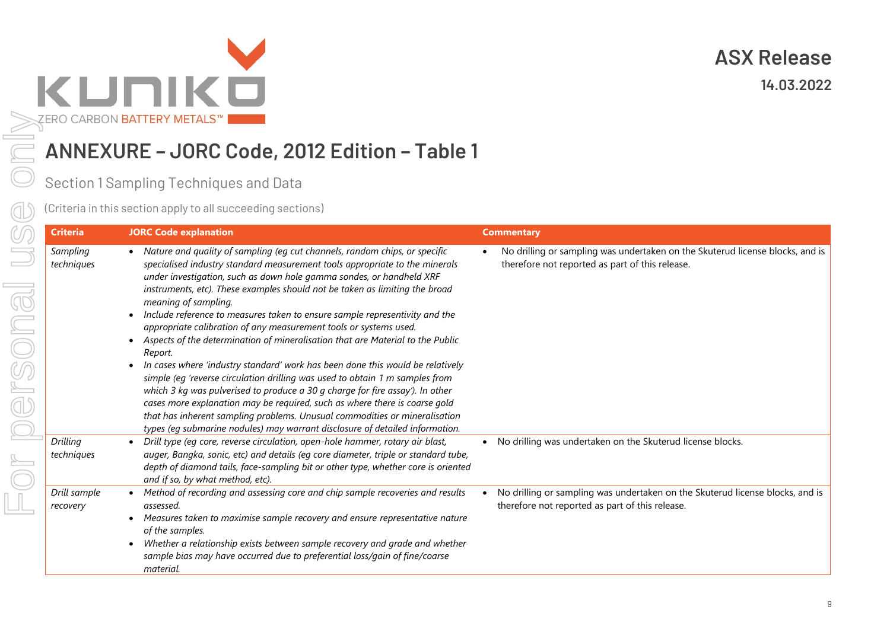

## **ANNEXURE – JORC Code, 2012 Edition – Table 1**

or personal us

|            | (ERO CARBON <b>BATTERY METALS™  </b>         |                                                                                                                                                                                                                                                                                                                                                                                                                                                                                                                                                                                                                                                                                                                                                                                                                                                                                                                                                                                                                                                                                                                      |                                                                                                                                  |  |
|------------|----------------------------------------------|----------------------------------------------------------------------------------------------------------------------------------------------------------------------------------------------------------------------------------------------------------------------------------------------------------------------------------------------------------------------------------------------------------------------------------------------------------------------------------------------------------------------------------------------------------------------------------------------------------------------------------------------------------------------------------------------------------------------------------------------------------------------------------------------------------------------------------------------------------------------------------------------------------------------------------------------------------------------------------------------------------------------------------------------------------------------------------------------------------------------|----------------------------------------------------------------------------------------------------------------------------------|--|
|            | ANNEXURE - JORC Code, 2012 Edition - Table 1 |                                                                                                                                                                                                                                                                                                                                                                                                                                                                                                                                                                                                                                                                                                                                                                                                                                                                                                                                                                                                                                                                                                                      |                                                                                                                                  |  |
|            | Section 1 Sampling Techniques and Data       |                                                                                                                                                                                                                                                                                                                                                                                                                                                                                                                                                                                                                                                                                                                                                                                                                                                                                                                                                                                                                                                                                                                      |                                                                                                                                  |  |
|            |                                              | (Criteria in this section apply to all succeeding sections)                                                                                                                                                                                                                                                                                                                                                                                                                                                                                                                                                                                                                                                                                                                                                                                                                                                                                                                                                                                                                                                          |                                                                                                                                  |  |
|            | <b>Criteria</b>                              | <b>JORC Code explanation</b>                                                                                                                                                                                                                                                                                                                                                                                                                                                                                                                                                                                                                                                                                                                                                                                                                                                                                                                                                                                                                                                                                         | <b>Commentary</b>                                                                                                                |  |
| $\bigcirc$ | Sampling<br>techniques                       | • Nature and quality of sampling (eg cut channels, random chips, or specific<br>specialised industry standard measurement tools appropriate to the minerals<br>under investigation, such as down hole gamma sondes, or handheld XRF<br>instruments, etc). These examples should not be taken as limiting the broad<br>meaning of sampling.<br>Include reference to measures taken to ensure sample representivity and the<br>appropriate calibration of any measurement tools or systems used.<br>Aspects of the determination of mineralisation that are Material to the Public<br>$\bullet$<br>Report.<br>In cases where 'industry standard' work has been done this would be relatively<br>$\bullet$<br>simple (eg 'reverse circulation drilling was used to obtain 1 m samples from<br>which 3 kg was pulverised to produce a 30 g charge for fire assay'). In other<br>cases more explanation may be required, such as where there is coarse gold<br>that has inherent sampling problems. Unusual commodities or mineralisation<br>types (eg submarine nodules) may warrant disclosure of detailed information. | No drilling or sampling was undertaken on the Skuterud license blocks, and is<br>therefore not reported as part of this release. |  |
|            | Drilling<br>techniques                       | Drill type (eg core, reverse circulation, open-hole hammer, rotary air blast,<br>auger, Bangka, sonic, etc) and details (eg core diameter, triple or standard tube,<br>depth of diamond tails, face-sampling bit or other type, whether core is oriented<br>and if so, by what method, etc).                                                                                                                                                                                                                                                                                                                                                                                                                                                                                                                                                                                                                                                                                                                                                                                                                         | No drilling was undertaken on the Skuterud license blocks.<br>$\bullet$                                                          |  |
|            | Drill sample<br>recovery                     | Method of recording and assessing core and chip sample recoveries and results<br>assessed.<br>Measures taken to maximise sample recovery and ensure representative nature<br>of the samples.<br>Whether a relationship exists between sample recovery and grade and whether<br>$\bullet$<br>sample bias may have occurred due to preferential loss/gain of fine/coarse<br>material.                                                                                                                                                                                                                                                                                                                                                                                                                                                                                                                                                                                                                                                                                                                                  | No drilling or sampling was undertaken on the Skuterud license blocks, and is<br>therefore not reported as part of this release. |  |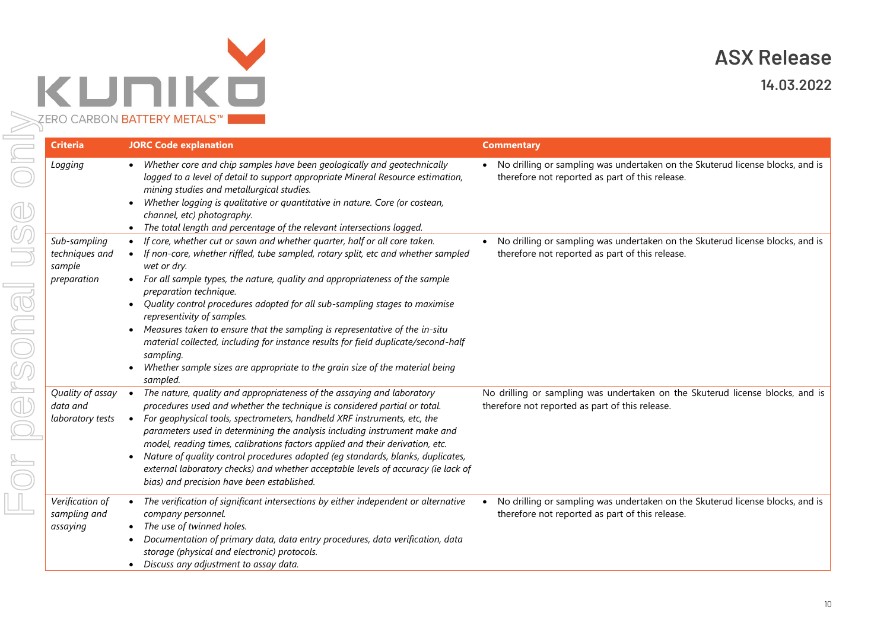

**14.03.2022**

| <b>Criteria</b>                                  | <b>JORC Code explanation</b>                                                                                                                                                                                                                                                                                                                                                                    | <b>Commentary</b>                                                                                                                             |
|--------------------------------------------------|-------------------------------------------------------------------------------------------------------------------------------------------------------------------------------------------------------------------------------------------------------------------------------------------------------------------------------------------------------------------------------------------------|-----------------------------------------------------------------------------------------------------------------------------------------------|
| Logging                                          | • Whether core and chip samples have been geologically and geotechnically<br>logged to a level of detail to support appropriate Mineral Resource estimation,<br>mining studies and metallurgical studies.<br>Whether logging is qualitative or quantitative in nature. Core (or costean,<br>channel, etc) photography.<br>The total length and percentage of the relevant intersections logged. | • No drilling or sampling was undertaken on the Skuterud license blocks, and is<br>therefore not reported as part of this release.            |
| Sub-sampling<br>techniques and<br>sample         | If core, whether cut or sawn and whether quarter, half or all core taken.<br>If non-core, whether riffled, tube sampled, rotary split, etc and whether sampled<br>wet or dry.                                                                                                                                                                                                                   | No drilling or sampling was undertaken on the Skuterud license blocks, and is<br>therefore not reported as part of this release.              |
| preparation                                      | For all sample types, the nature, quality and appropriateness of the sample<br>preparation technique.<br>Quality control procedures adopted for all sub-sampling stages to maximise                                                                                                                                                                                                             |                                                                                                                                               |
|                                                  | representivity of samples.<br>Measures taken to ensure that the sampling is representative of the in-situ<br>material collected, including for instance results for field duplicate/second-half<br>sampling.                                                                                                                                                                                    |                                                                                                                                               |
|                                                  | Whether sample sizes are appropriate to the grain size of the material being<br>sampled.                                                                                                                                                                                                                                                                                                        |                                                                                                                                               |
| Quality of assay<br>data and<br>laboratory tests | The nature, quality and appropriateness of the assaying and laboratory<br>$\bullet$<br>procedures used and whether the technique is considered partial or total.<br>For geophysical tools, spectrometers, handheld XRF instruments, etc, the<br>$\bullet$<br>parameters used in determining the analysis including instrument make and                                                          | No drilling or sampling was undertaken on the Skuterud license blocks, and is<br>therefore not reported as part of this release.              |
|                                                  | model, reading times, calibrations factors applied and their derivation, etc.<br>Nature of quality control procedures adopted (eg standards, blanks, duplicates,<br>external laboratory checks) and whether acceptable levels of accuracy (ie lack of<br>bias) and precision have been established.                                                                                             |                                                                                                                                               |
| Verification of<br>sampling and<br>assaying      | The verification of significant intersections by either independent or alternative<br>company personnel.<br>The use of twinned holes.<br>Documentation of primary data, data entry procedures, data verification, data<br>storage (physical and electronic) protocols.                                                                                                                          | No drilling or sampling was undertaken on the Skuterud license blocks, and is<br>$\bullet$<br>therefore not reported as part of this release. |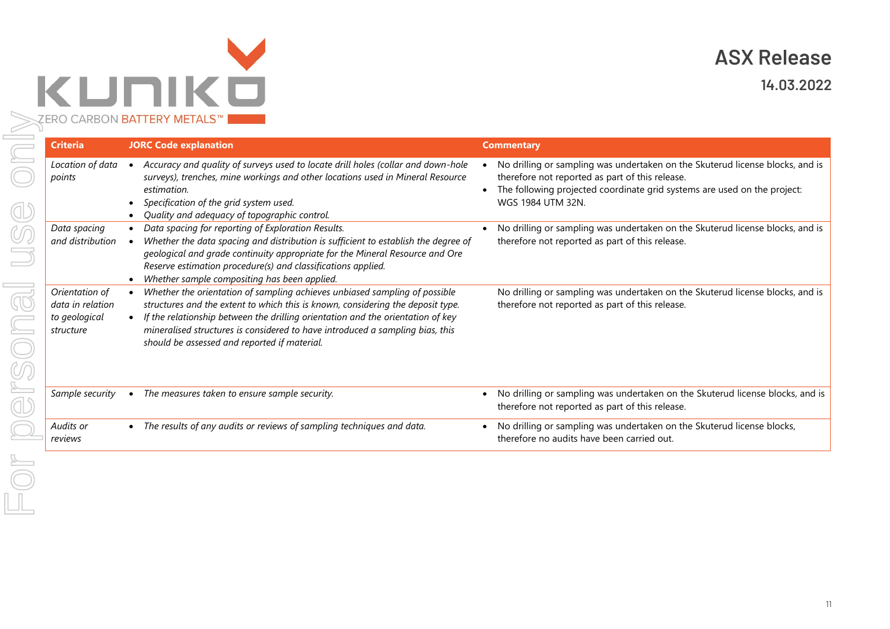

**14.03.2022**

| <b>Criteria</b>                                                  | <b>JORC Code explanation</b>                                                                                                                                                                                                                                                                                                                                                      | <b>Commentary</b>                                                                                                                                                                                                                 |
|------------------------------------------------------------------|-----------------------------------------------------------------------------------------------------------------------------------------------------------------------------------------------------------------------------------------------------------------------------------------------------------------------------------------------------------------------------------|-----------------------------------------------------------------------------------------------------------------------------------------------------------------------------------------------------------------------------------|
| Location of data<br>points                                       | Accuracy and quality of surveys used to locate drill holes (collar and down-hole<br>surveys), trenches, mine workings and other locations used in Mineral Resource<br>estimation.<br>Specification of the grid system used.<br>Quality and adequacy of topographic control.                                                                                                       | No drilling or sampling was undertaken on the Skuterud license blocks, and is<br>therefore not reported as part of this release.<br>The following projected coordinate grid systems are used on the project:<br>WGS 1984 UTM 32N. |
| Data spacing<br>and distribution                                 | Data spacing for reporting of Exploration Results.<br>Whether the data spacing and distribution is sufficient to establish the degree of<br>geological and grade continuity appropriate for the Mineral Resource and Ore<br>Reserve estimation procedure(s) and classifications applied.<br>Whether sample compositing has been applied.                                          | No drilling or sampling was undertaken on the Skuterud license blocks, and is<br>therefore not reported as part of this release.                                                                                                  |
| Orientation of<br>data in relation<br>to geological<br>structure | Whether the orientation of sampling achieves unbiased sampling of possible<br>structures and the extent to which this is known, considering the deposit type.<br>If the relationship between the drilling orientation and the orientation of key<br>mineralised structures is considered to have introduced a sampling bias, this<br>should be assessed and reported if material. | No drilling or sampling was undertaken on the Skuterud license blocks, and is<br>therefore not reported as part of this release.                                                                                                  |
| Sample security                                                  | The measures taken to ensure sample security.                                                                                                                                                                                                                                                                                                                                     | No drilling or sampling was undertaken on the Skuterud license blocks, and is<br>therefore not reported as part of this release.                                                                                                  |
| Audits or<br>reviews                                             | The results of any audits or reviews of sampling techniques and data.                                                                                                                                                                                                                                                                                                             | No drilling or sampling was undertaken on the Skuterud license blocks,<br>therefore no audits have been carried out.                                                                                                              |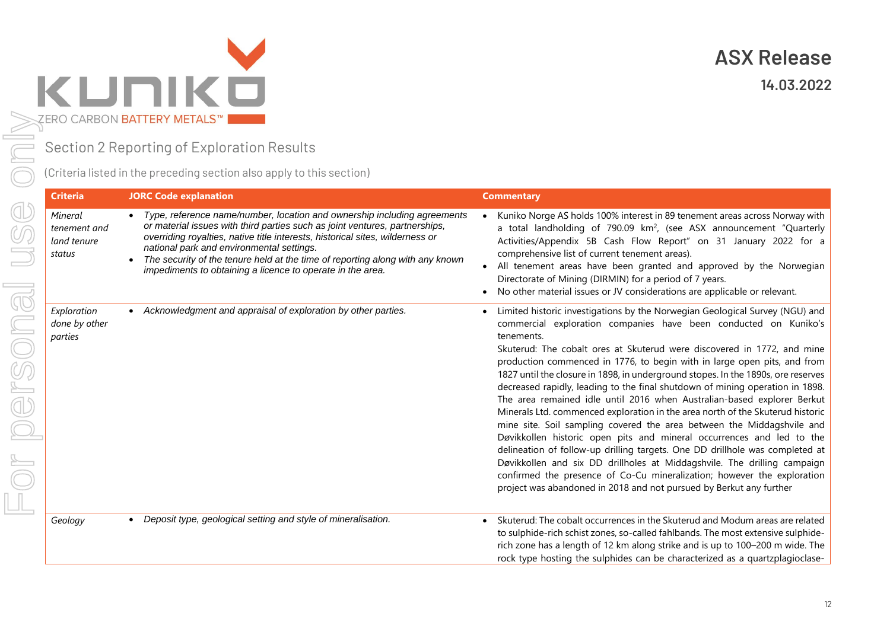

Section 2 Reporting of Exploration Results

(Criteria listed in the preceding section also apply to this section)

| <b>Criteria</b>                                  | <b>JORC Code explanation</b>                                                                                                                                                                                                                                                                                                                                                                                                         | <b>Commentary</b>                                                                                                                                                                                                                                                                                                                                                                                                                                                                                                                                                                                                                                                                                                                                                                                                                                                                                                                                                                                                                                                                                                         |
|--------------------------------------------------|--------------------------------------------------------------------------------------------------------------------------------------------------------------------------------------------------------------------------------------------------------------------------------------------------------------------------------------------------------------------------------------------------------------------------------------|---------------------------------------------------------------------------------------------------------------------------------------------------------------------------------------------------------------------------------------------------------------------------------------------------------------------------------------------------------------------------------------------------------------------------------------------------------------------------------------------------------------------------------------------------------------------------------------------------------------------------------------------------------------------------------------------------------------------------------------------------------------------------------------------------------------------------------------------------------------------------------------------------------------------------------------------------------------------------------------------------------------------------------------------------------------------------------------------------------------------------|
| Mineral<br>tenement and<br>land tenure<br>status | Type, reference name/number, location and ownership including agreements<br>or material issues with third parties such as joint ventures, partnerships,<br>overriding royalties, native title interests, historical sites, wilderness or<br>national park and environmental settings.<br>The security of the tenure held at the time of reporting along with any known<br>impediments to obtaining a licence to operate in the area. | Kuniko Norge AS holds 100% interest in 89 tenement areas across Norway with<br>a total landholding of 790.09 km <sup>2</sup> , (see ASX announcement "Quarterly<br>Activities/Appendix 5B Cash Flow Report" on 31 January 2022 for a<br>comprehensive list of current tenement areas).<br>All tenement areas have been granted and approved by the Norwegian<br>Directorate of Mining (DIRMIN) for a period of 7 years.<br>No other material issues or JV considerations are applicable or relevant.                                                                                                                                                                                                                                                                                                                                                                                                                                                                                                                                                                                                                      |
| Exploration<br>done by other<br>parties          | Acknowledgment and appraisal of exploration by other parties.                                                                                                                                                                                                                                                                                                                                                                        | Limited historic investigations by the Norwegian Geological Survey (NGU) and<br>commercial exploration companies have been conducted on Kuniko's<br>tenements.<br>Skuterud: The cobalt ores at Skuterud were discovered in 1772, and mine<br>production commenced in 1776, to begin with in large open pits, and from<br>1827 until the closure in 1898, in underground stopes. In the 1890s, ore reserves<br>decreased rapidly, leading to the final shutdown of mining operation in 1898.<br>The area remained idle until 2016 when Australian-based explorer Berkut<br>Minerals Ltd. commenced exploration in the area north of the Skuterud historic<br>mine site. Soil sampling covered the area between the Middagshvile and<br>Døvikkollen historic open pits and mineral occurrences and led to the<br>delineation of follow-up drilling targets. One DD drillhole was completed at<br>Døvikkollen and six DD drillholes at Middagshvile. The drilling campaign<br>confirmed the presence of Co-Cu mineralization; however the exploration<br>project was abandoned in 2018 and not pursued by Berkut any further |
| Geology                                          | Deposit type, geological setting and style of mineralisation.<br>$\bullet$                                                                                                                                                                                                                                                                                                                                                           | Skuterud: The cobalt occurrences in the Skuterud and Modum areas are related<br>to sulphide-rich schist zones, so-called fahlbands. The most extensive sulphide-<br>rich zone has a length of 12 km along strike and is up to 100-200 m wide. The<br>rock type hosting the sulphides can be characterized as a quartzplagioclase-                                                                                                                                                                                                                                                                                                                                                                                                                                                                                                                                                                                                                                                                                                                                                                                         |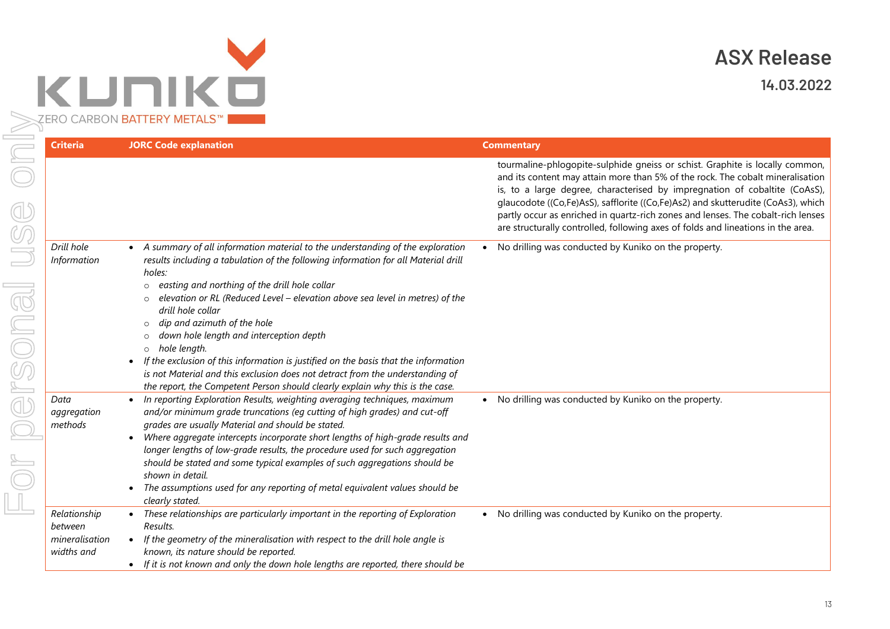

| <b>Criteria</b>                                         | <b>JORC Code explanation</b>                                                                                                                                                                                                                                                                                                                                                                                                                                                                                                                                                                                                                                                                                                          | <b>Commentary</b>                                                                                                                                                                                                                                                                                                                                                                                                                                                                                        |
|---------------------------------------------------------|---------------------------------------------------------------------------------------------------------------------------------------------------------------------------------------------------------------------------------------------------------------------------------------------------------------------------------------------------------------------------------------------------------------------------------------------------------------------------------------------------------------------------------------------------------------------------------------------------------------------------------------------------------------------------------------------------------------------------------------|----------------------------------------------------------------------------------------------------------------------------------------------------------------------------------------------------------------------------------------------------------------------------------------------------------------------------------------------------------------------------------------------------------------------------------------------------------------------------------------------------------|
| $\bigoplus\limits_{\mathbb{C}}$                         |                                                                                                                                                                                                                                                                                                                                                                                                                                                                                                                                                                                                                                                                                                                                       | tourmaline-phlogopite-sulphide gneiss or schist. Graphite is locally common,<br>and its content may attain more than 5% of the rock. The cobalt mineralisation<br>is, to a large degree, characterised by impregnation of cobaltite (CoAsS),<br>glaucodote ((Co,Fe)AsS), safflorite ((Co,Fe)As2) and skutterudite (CoAs3), which<br>partly occur as enriched in quartz-rich zones and lenses. The cobalt-rich lenses<br>are structurally controlled, following axes of folds and lineations in the area. |
| Drill hole<br>Information<br>rsona                      | A summary of all information material to the understanding of the exploration<br>$\bullet$<br>results including a tabulation of the following information for all Material drill<br>holes:<br>o easting and northing of the drill hole collar<br>elevation or RL (Reduced Level - elevation above sea level in metres) of the<br>drill hole collar<br>dip and azimuth of the hole<br>$\circ$<br>down hole length and interception depth<br>$\circ$ hole length.<br>If the exclusion of this information is justified on the basis that the information<br>$\bullet$<br>is not Material and this exclusion does not detract from the understanding of<br>the report, the Competent Person should clearly explain why this is the case. | No drilling was conducted by Kuniko on the property.                                                                                                                                                                                                                                                                                                                                                                                                                                                     |
| ď<br>Data<br>aggregation<br>methods                     | In reporting Exploration Results, weighting averaging techniques, maximum<br>and/or minimum grade truncations (eg cutting of high grades) and cut-off<br>grades are usually Material and should be stated.<br>Where aggregate intercepts incorporate short lengths of high-grade results and<br>longer lengths of low-grade results, the procedure used for such aggregation<br>should be stated and some typical examples of such aggregations should be<br>shown in detail.<br>The assumptions used for any reporting of metal equivalent values should be<br>$\bullet$<br>clearly stated.                                                                                                                                          | No drilling was conducted by Kuniko on the property.<br>$\bullet$                                                                                                                                                                                                                                                                                                                                                                                                                                        |
| Relationship<br>between<br>mineralisation<br>widths and | These relationships are particularly important in the reporting of Exploration<br>Results.<br>If the geometry of the mineralisation with respect to the drill hole angle is<br>known, its nature should be reported.                                                                                                                                                                                                                                                                                                                                                                                                                                                                                                                  | No drilling was conducted by Kuniko on the property.<br>$\bullet$                                                                                                                                                                                                                                                                                                                                                                                                                                        |

• *If it is not known and only the down hole lengths are reported, there should be*